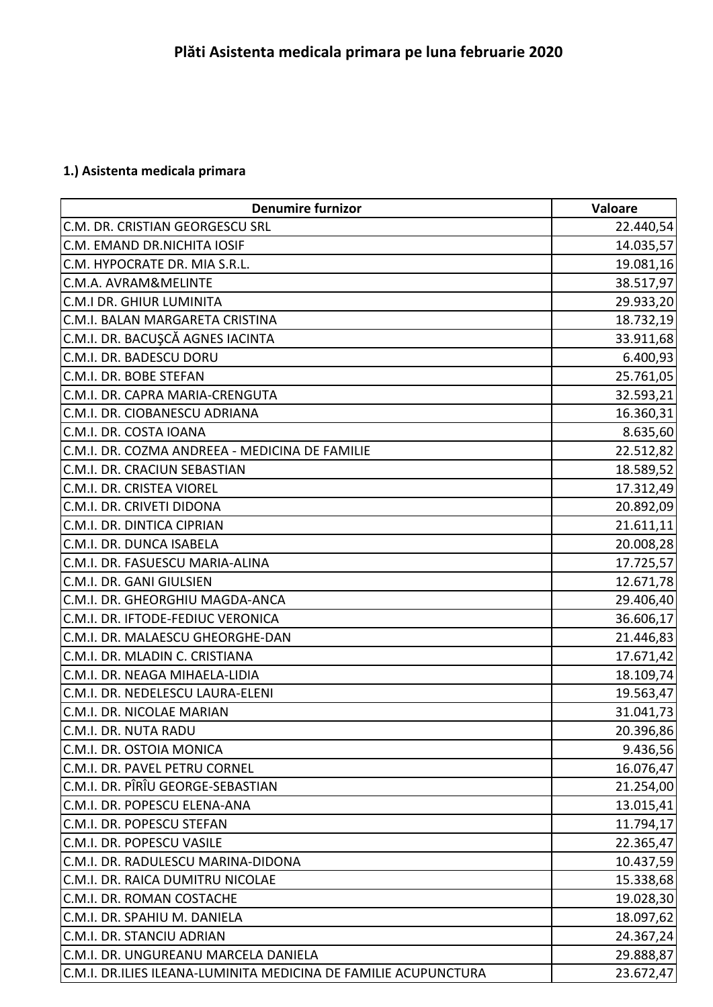## **1.) Asistenta medicala primara**

| <b>Denumire furnizor</b>                                        | Valoare   |
|-----------------------------------------------------------------|-----------|
| C.M. DR. CRISTIAN GEORGESCU SRL                                 | 22.440,54 |
| C.M. EMAND DR.NICHITA IOSIF                                     | 14.035,57 |
| C.M. HYPOCRATE DR. MIA S.R.L.                                   | 19.081,16 |
| C.M.A. AVRAM&MELINTE                                            | 38.517,97 |
| <b>C.M.I DR. GHIUR LUMINITA</b>                                 | 29.933,20 |
| C.M.I. BALAN MARGARETA CRISTINA                                 | 18.732,19 |
| C.M.I. DR. BACUŞCĂ AGNES IACINTA                                | 33.911,68 |
| C.M.I. DR. BADESCU DORU                                         | 6.400,93  |
| C.M.I. DR. BOBE STEFAN                                          | 25.761,05 |
| C.M.I. DR. CAPRA MARIA-CRENGUTA                                 | 32.593,21 |
| C.M.I. DR. CIOBANESCU ADRIANA                                   | 16.360,31 |
| C.M.I. DR. COSTA IOANA                                          | 8.635,60  |
| C.M.I. DR. COZMA ANDREEA - MEDICINA DE FAMILIE                  | 22.512,82 |
| C.M.I. DR. CRACIUN SEBASTIAN                                    | 18.589,52 |
| C.M.I. DR. CRISTEA VIOREL                                       | 17.312,49 |
| C.M.I. DR. CRIVETI DIDONA                                       | 20.892,09 |
| C.M.I. DR. DINTICA CIPRIAN                                      | 21.611,11 |
| C.M.I. DR. DUNCA ISABELA                                        | 20.008,28 |
| C.M.I. DR. FASUESCU MARIA-ALINA                                 | 17.725,57 |
| C.M.I. DR. GANI GIULSIEN                                        | 12.671,78 |
| C.M.I. DR. GHEORGHIU MAGDA-ANCA                                 | 29.406,40 |
| C.M.I. DR. IFTODE-FEDIUC VERONICA                               | 36.606,17 |
| C.M.I. DR. MALAESCU GHEORGHE-DAN                                | 21.446,83 |
| C.M.I. DR. MLADIN C. CRISTIANA                                  | 17.671,42 |
| C.M.I. DR. NEAGA MIHAELA-LIDIA                                  | 18.109,74 |
| C.M.I. DR. NEDELESCU LAURA-ELENI                                | 19.563,47 |
| C.M.I. DR. NICOLAE MARIAN                                       | 31.041,73 |
| C.M.I. DR. NUTA RADU                                            | 20.396,86 |
| C.M.I. DR. OSTOIA MONICA                                        | 9.436,56  |
| C.M.I. DR. PAVEL PETRU CORNEL                                   | 16.076,47 |
| C.M.I. DR. PÎRÎU GEORGE-SEBASTIAN                               | 21.254,00 |
| C.M.I. DR. POPESCU ELENA-ANA                                    | 13.015,41 |
| C.M.I. DR. POPESCU STEFAN                                       | 11.794,17 |
| C.M.I. DR. POPESCU VASILE                                       | 22.365,47 |
| C.M.I. DR. RADULESCU MARINA-DIDONA                              | 10.437,59 |
| C.M.I. DR. RAICA DUMITRU NICOLAE                                | 15.338,68 |
| C.M.I. DR. ROMAN COSTACHE                                       | 19.028,30 |
| C.M.I. DR. SPAHIU M. DANIELA                                    | 18.097,62 |
| C.M.I. DR. STANCIU ADRIAN                                       | 24.367,24 |
| C.M.I. DR. UNGUREANU MARCELA DANIELA                            | 29.888,87 |
| C.M.I. DR.ILIES ILEANA-LUMINITA MEDICINA DE FAMILIE ACUPUNCTURA | 23.672,47 |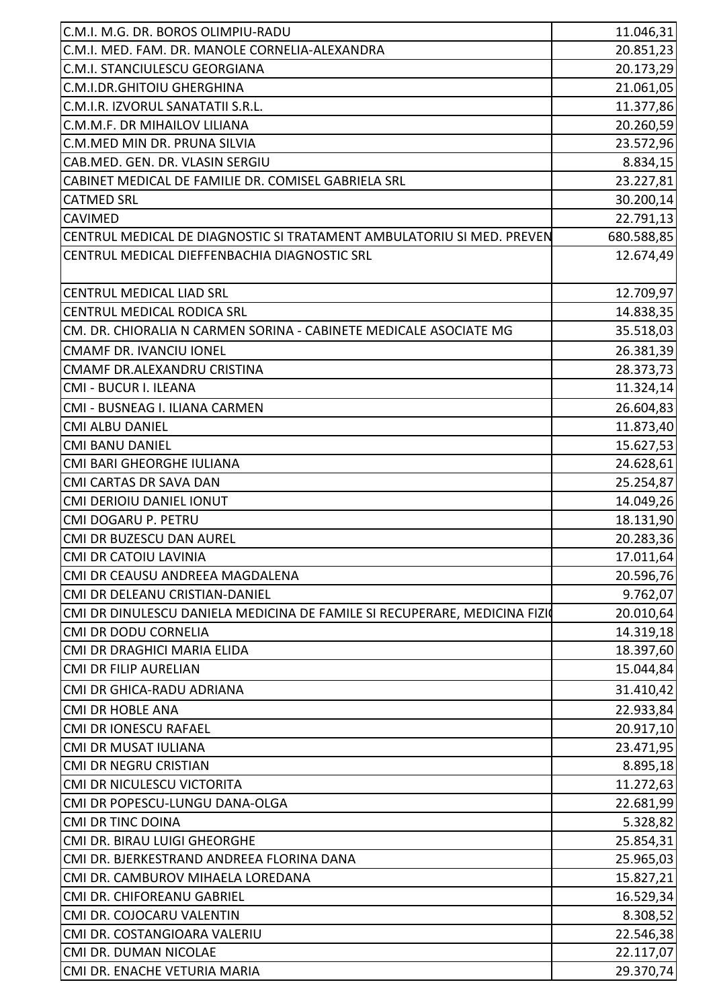| C.M.I. M.G. DR. BOROS OLIMPIU-RADU                                        | 11.046,31  |
|---------------------------------------------------------------------------|------------|
| C.M.I. MED. FAM. DR. MANOLE CORNELIA-ALEXANDRA                            | 20.851,23  |
| C.M.I. STANCIULESCU GEORGIANA                                             | 20.173,29  |
| C.M.I.DR.GHITOIU GHERGHINA                                                | 21.061,05  |
| C.M.I.R. IZVORUL SANATATII S.R.L.                                         | 11.377,86  |
| C.M.M.F. DR MIHAILOV LILIANA                                              | 20.260,59  |
| C.M.MED MIN DR. PRUNA SILVIA                                              | 23.572,96  |
| CAB.MED. GEN. DR. VLASIN SERGIU                                           | 8.834,15   |
| CABINET MEDICAL DE FAMILIE DR. COMISEL GABRIELA SRL                       | 23.227,81  |
| <b>CATMED SRL</b>                                                         | 30.200,14  |
| <b>CAVIMED</b>                                                            | 22.791,13  |
| CENTRUL MEDICAL DE DIAGNOSTIC SI TRATAMENT AMBULATORIU SI MED. PREVEN     | 680.588,85 |
| CENTRUL MEDICAL DIEFFENBACHIA DIAGNOSTIC SRL                              | 12.674,49  |
|                                                                           |            |
| <b>CENTRUL MEDICAL LIAD SRL</b>                                           | 12.709,97  |
| <b>CENTRUL MEDICAL RODICA SRL</b>                                         | 14.838,35  |
| CM. DR. CHIORALIA N CARMEN SORINA - CABINETE MEDICALE ASOCIATE MG         | 35.518,03  |
| <b>CMAMF DR. IVANCIU IONEL</b>                                            | 26.381,39  |
| CMAMF DR.ALEXANDRU CRISTINA                                               | 28.373,73  |
| CMI - BUCUR I. ILEANA                                                     | 11.324,14  |
| CMI - BUSNEAG I. ILIANA CARMEN                                            | 26.604,83  |
| <b>CMI ALBU DANIEL</b>                                                    | 11.873,40  |
| <b>CMI BANU DANIEL</b>                                                    | 15.627,53  |
| CMI BARI GHEORGHE IULIANA                                                 | 24.628,61  |
| CMI CARTAS DR SAVA DAN                                                    | 25.254,87  |
| <b>CMI DERIOIU DANIEL IONUT</b>                                           | 14.049,26  |
| CMI DOGARU P. PETRU                                                       | 18.131,90  |
| CMI DR BUZESCU DAN AUREL                                                  | 20.283,36  |
| CMI DR CATOIU LAVINIA                                                     | 17.011,64  |
| CMI DR CEAUSU ANDREEA MAGDALENA                                           | 20.596,76  |
| CMI DR DELEANU CRISTIAN-DANIEL                                            | 9.762,07   |
| CMI DR DINULESCU DANIELA MEDICINA DE FAMILE SI RECUPERARE, MEDICINA FIZIO | 20.010,64  |
| <b>CMI DR DODU CORNELIA</b>                                               | 14.319,18  |
| CMI DR DRAGHICI MARIA ELIDA                                               | 18.397,60  |
| <b>CMI DR FILIP AURELIAN</b>                                              | 15.044,84  |
| CMI DR GHICA-RADU ADRIANA                                                 | 31.410,42  |
|                                                                           |            |
| <b>CMI DR HOBLE ANA</b>                                                   | 22.933,84  |
| <b>CMI DR IONESCU RAFAEL</b><br><b>CMI DR MUSAT IULIANA</b>               | 20.917,10  |
|                                                                           | 23.471,95  |
| <b>CMI DR NEGRU CRISTIAN</b><br>CMI DR NICULESCU VICTORITA                | 8.895,18   |
|                                                                           | 11.272,63  |
| CMI DR POPESCU-LUNGU DANA-OLGA                                            | 22.681,99  |
| <b>CMI DR TINC DOINA</b>                                                  | 5.328,82   |
| CMI DR. BIRAU LUIGI GHEORGHE<br>CMI DR. BJERKESTRAND ANDREEA FLORINA DANA | 25.854,31  |
|                                                                           | 25.965,03  |
| CMI DR. CAMBUROV MIHAELA LOREDANA                                         | 15.827,21  |
| CMI DR. CHIFOREANU GABRIEL                                                | 16.529,34  |
| CMI DR. COJOCARU VALENTIN<br>CMI DR. COSTANGIOARA VALERIU                 | 8.308,52   |
|                                                                           | 22.546,38  |
| CMI DR. DUMAN NICOLAE                                                     | 22.117,07  |
| CMI DR. ENACHE VETURIA MARIA                                              | 29.370,74  |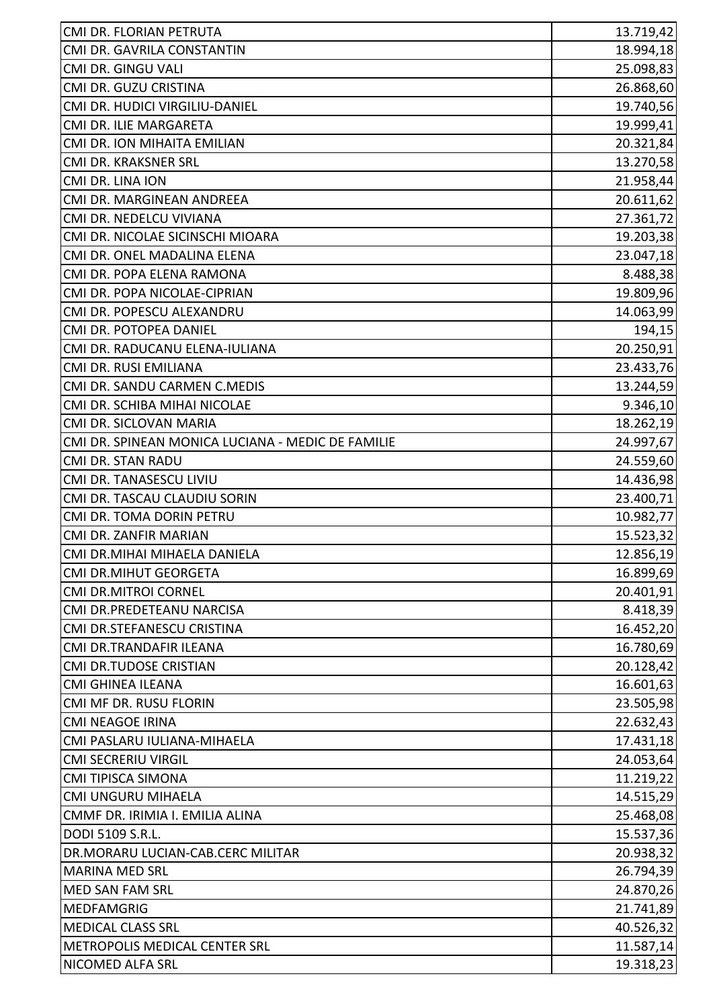| CMI DR. FLORIAN PETRUTA                           | 13.719,42 |
|---------------------------------------------------|-----------|
| CMI DR. GAVRILA CONSTANTIN                        | 18.994,18 |
| CMI DR. GINGU VALI                                | 25.098,83 |
| CMI DR. GUZU CRISTINA                             | 26.868,60 |
| CMI DR. HUDICI VIRGILIU-DANIEL                    | 19.740,56 |
| CMI DR. ILIE MARGARETA                            | 19.999,41 |
| CMI DR. ION MIHAITA EMILIAN                       | 20.321,84 |
| CMI DR. KRAKSNER SRL                              | 13.270,58 |
| CMI DR. LINA ION                                  | 21.958,44 |
| CMI DR. MARGINEAN ANDREEA                         | 20.611,62 |
| CMI DR. NEDELCU VIVIANA                           | 27.361,72 |
| CMI DR. NICOLAE SICINSCHI MIOARA                  | 19.203,38 |
| CMI DR. ONEL MADALINA ELENA                       | 23.047,18 |
| CMI DR. POPA ELENA RAMONA                         | 8.488,38  |
| CMI DR. POPA NICOLAE-CIPRIAN                      | 19.809,96 |
| CMI DR. POPESCU ALEXANDRU                         | 14.063,99 |
| CMI DR. POTOPEA DANIEL                            | 194,15    |
| CMI DR. RADUCANU ELENA-IULIANA                    | 20.250,91 |
| CMI DR. RUSI EMILIANA                             | 23.433,76 |
| CMI DR. SANDU CARMEN C.MEDIS                      | 13.244,59 |
| CMI DR. SCHIBA MIHAI NICOLAE                      | 9.346,10  |
| CMI DR. SICLOVAN MARIA                            | 18.262,19 |
| CMI DR. SPINEAN MONICA LUCIANA - MEDIC DE FAMILIE | 24.997,67 |
| CMI DR. STAN RADU                                 | 24.559,60 |
| CMI DR. TANASESCU LIVIU                           | 14.436,98 |
| CMI DR. TASCAU CLAUDIU SORIN                      | 23.400,71 |
| CMI DR. TOMA DORIN PETRU                          | 10.982,77 |
| CMI DR. ZANFIR MARIAN                             | 15.523,32 |
| CMI DR.MIHAI MIHAELA DANIELA                      | 12.856,19 |
| <b>CMI DR.MIHUT GEORGETA</b>                      | 16.899,69 |
| <b>CMI DR.MITROI CORNEL</b>                       | 20.401,91 |
| CMI DR.PREDETEANU NARCISA                         | 8.418,39  |
| CMI DR.STEFANESCU CRISTINA                        | 16.452,20 |
| CMI DR.TRANDAFIR ILEANA                           | 16.780,69 |
| CMI DR.TUDOSE CRISTIAN                            | 20.128,42 |
| <b>CMI GHINEA ILEANA</b>                          | 16.601,63 |
| CMI MF DR. RUSU FLORIN                            | 23.505,98 |
| <b>CMI NEAGOE IRINA</b>                           | 22.632,43 |
| CMI PASLARU IULIANA-MIHAELA                       | 17.431,18 |
| <b>CMI SECRERIU VIRGIL</b>                        | 24.053,64 |
| CMI TIPISCA SIMONA                                | 11.219,22 |
| CMI UNGURU MIHAELA                                | 14.515,29 |
| CMMF DR. IRIMIA I. EMILIA ALINA                   | 25.468,08 |
| DODI 5109 S.R.L.                                  | 15.537,36 |
| DR.MORARU LUCIAN-CAB.CERC MILITAR                 | 20.938,32 |
| <b>MARINA MED SRL</b>                             | 26.794,39 |
| <b>MED SAN FAM SRL</b>                            | 24.870,26 |
| <b>MEDFAMGRIG</b>                                 | 21.741,89 |
| <b>MEDICAL CLASS SRL</b>                          | 40.526,32 |
| METROPOLIS MEDICAL CENTER SRL                     | 11.587,14 |
| NICOMED ALFA SRL                                  | 19.318,23 |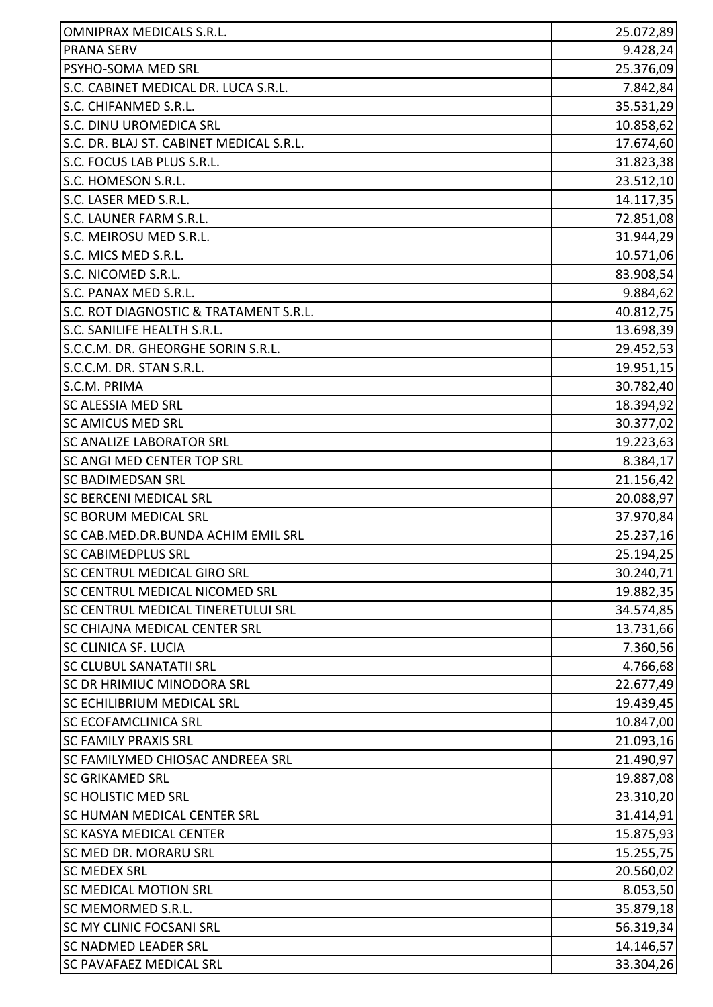| <b>OMNIPRAX MEDICALS S.R.L.</b>          | 25.072,89 |
|------------------------------------------|-----------|
| <b>PRANA SERV</b>                        | 9.428,24  |
| PSYHO-SOMA MED SRL                       | 25.376,09 |
| S.C. CABINET MEDICAL DR. LUCA S.R.L.     | 7.842,84  |
| S.C. CHIFANMED S.R.L.                    | 35.531,29 |
| S.C. DINU UROMEDICA SRL                  | 10.858,62 |
| S.C. DR. BLAJ ST. CABINET MEDICAL S.R.L. | 17.674,60 |
| S.C. FOCUS LAB PLUS S.R.L.               | 31.823,38 |
| S.C. HOMESON S.R.L.                      | 23.512,10 |
| S.C. LASER MED S.R.L.                    | 14.117,35 |
| S.C. LAUNER FARM S.R.L.                  | 72.851,08 |
| S.C. MEIROSU MED S.R.L.                  | 31.944,29 |
| S.C. MICS MED S.R.L.                     | 10.571,06 |
| S.C. NICOMED S.R.L.                      | 83.908,54 |
| S.C. PANAX MED S.R.L.                    | 9.884, 62 |
| S.C. ROT DIAGNOSTIC & TRATAMENT S.R.L.   | 40.812,75 |
| S.C. SANILIFE HEALTH S.R.L.              | 13.698,39 |
| S.C.C.M. DR. GHEORGHE SORIN S.R.L.       | 29.452,53 |
| S.C.C.M. DR. STAN S.R.L.                 | 19.951,15 |
| S.C.M. PRIMA                             | 30.782,40 |
| <b>SC ALESSIA MED SRL</b>                | 18.394,92 |
| <b>SC AMICUS MED SRL</b>                 | 30.377,02 |
| <b>SC ANALIZE LABORATOR SRL</b>          | 19.223,63 |
| <b>SC ANGI MED CENTER TOP SRL</b>        | 8.384,17  |
| <b>SC BADIMEDSAN SRL</b>                 | 21.156,42 |
| <b>SC BERCENI MEDICAL SRL</b>            | 20.088,97 |
| <b>SC BORUM MEDICAL SRL</b>              | 37.970,84 |
| SC CAB.MED.DR.BUNDA ACHIM EMIL SRL       | 25.237,16 |
| SC CABIMEDPLUS SRL                       | 25.194,25 |
| SC CENTRUL MEDICAL GIRO SRL              | 30.240,71 |
| <b>SC CENTRUL MEDICAL NICOMED SRL</b>    | 19.882,35 |
| SC CENTRUL MEDICAL TINERETULUI SRL       | 34.574,85 |
| <b>SC CHIAJNA MEDICAL CENTER SRL</b>     | 13.731,66 |
| <b>SC CLINICA SF. LUCIA</b>              | 7.360,56  |
| <b>SC CLUBUL SANATATII SRL</b>           | 4.766,68  |
| SC DR HRIMIUC MINODORA SRL               | 22.677,49 |
| <b>SC ECHILIBRIUM MEDICAL SRL</b>        | 19.439,45 |
| <b>SC ECOFAMCLINICA SRL</b>              | 10.847,00 |
| <b>SC FAMILY PRAXIS SRL</b>              | 21.093,16 |
| <b>SC FAMILYMED CHIOSAC ANDREEA SRL</b>  | 21.490,97 |
| <b>SC GRIKAMED SRL</b>                   | 19.887,08 |
| <b>SC HOLISTIC MED SRL</b>               | 23.310,20 |
| <b>SC HUMAN MEDICAL CENTER SRL</b>       | 31.414,91 |
| <b>SC KASYA MEDICAL CENTER</b>           | 15.875,93 |
| <b>SC MED DR. MORARU SRL</b>             | 15.255,75 |
| <b>SC MEDEX SRL</b>                      | 20.560,02 |
| <b>SC MEDICAL MOTION SRL</b>             | 8.053,50  |
| SC MEMORMED S.R.L.                       | 35.879,18 |
| <b>SC MY CLINIC FOCSANI SRL</b>          | 56.319,34 |
| <b>SC NADMED LEADER SRL</b>              | 14.146,57 |
| <b>SC PAVAFAEZ MEDICAL SRL</b>           | 33.304,26 |